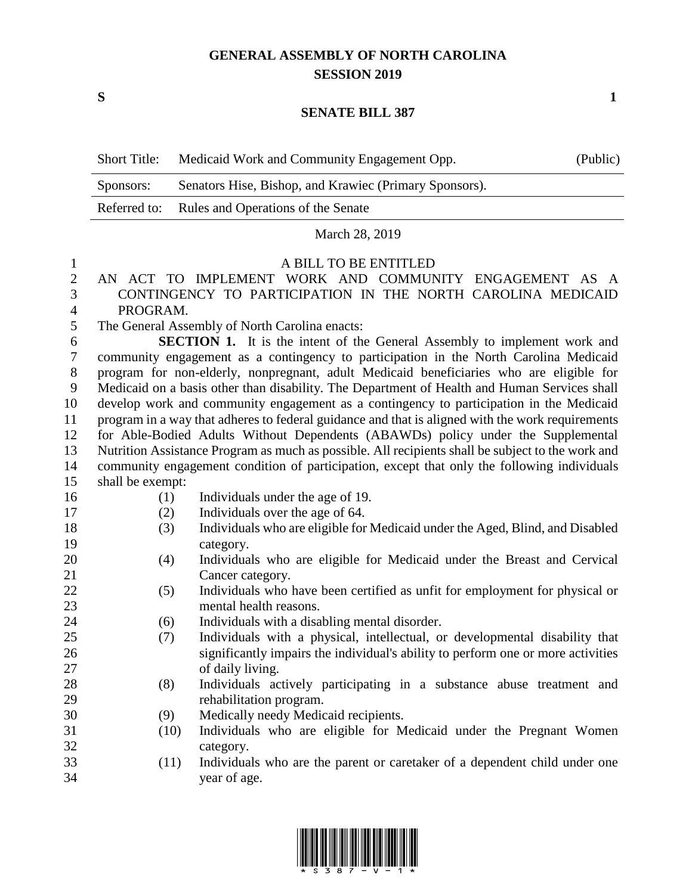## **GENERAL ASSEMBLY OF NORTH CAROLINA SESSION 2019**

**S 1**

### **SENATE BILL 387**

| <b>Short Title:</b> | Medicaid Work and Community Engagement Opp.            | (Public) |
|---------------------|--------------------------------------------------------|----------|
| Sponsors:           | Senators Hise, Bishop, and Krawiec (Primary Sponsors). |          |
|                     | Referred to: Rules and Operations of the Senate        |          |
|                     |                                                        |          |

March 28, 2019

#### A BILL TO BE ENTITLED

### AN ACT TO IMPLEMENT WORK AND COMMUNITY ENGAGEMENT AS A CONTINGENCY TO PARTICIPATION IN THE NORTH CAROLINA MEDICAID PROGRAM.

The General Assembly of North Carolina enacts:

 **SECTION 1.** It is the intent of the General Assembly to implement work and community engagement as a contingency to participation in the North Carolina Medicaid program for non-elderly, nonpregnant, adult Medicaid beneficiaries who are eligible for Medicaid on a basis other than disability. The Department of Health and Human Services shall develop work and community engagement as a contingency to participation in the Medicaid program in a way that adheres to federal guidance and that is aligned with the work requirements for Able-Bodied Adults Without Dependents (ABAWDs) policy under the Supplemental Nutrition Assistance Program as much as possible. All recipients shall be subject to the work and community engagement condition of participation, except that only the following individuals shall be exempt:

- 
- (1) Individuals under the age of 19.
- (2) Individuals over the age of 64.
- (3) Individuals who are eligible for Medicaid under the Aged, Blind, and Disabled category.
- (4) Individuals who are eligible for Medicaid under the Breast and Cervical 21 Cancer category.
- (5) Individuals who have been certified as unfit for employment for physical or mental health reasons.
- (6) Individuals with a disabling mental disorder.
- (7) Individuals with a physical, intellectual, or developmental disability that significantly impairs the individual's ability to perform one or more activities of daily living.
- (8) Individuals actively participating in a substance abuse treatment and rehabilitation program.
- (9) Medically needy Medicaid recipients.
- (10) Individuals who are eligible for Medicaid under the Pregnant Women category.

## (11) Individuals who are the parent or caretaker of a dependent child under one year of age.

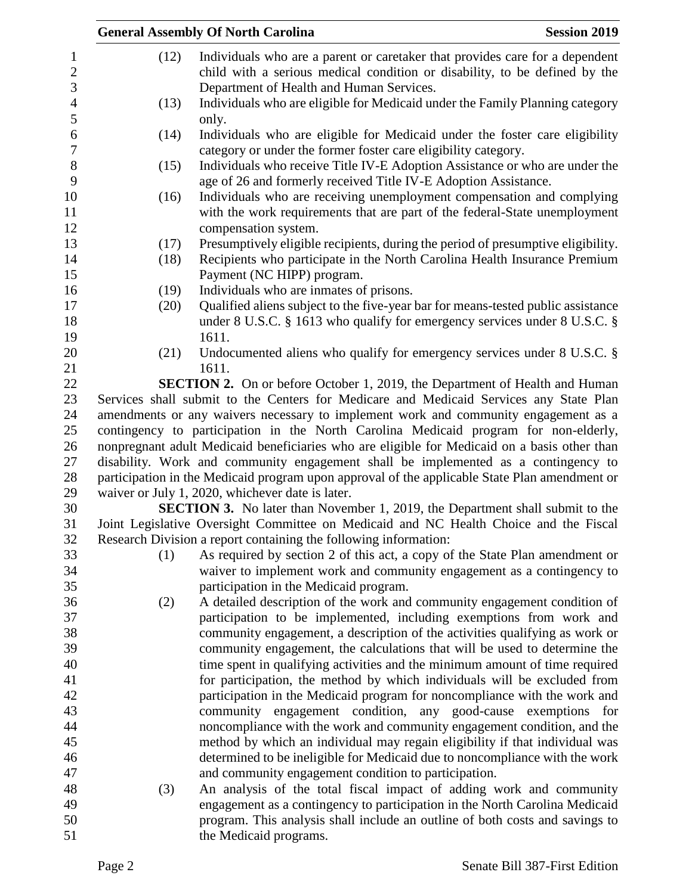|      | <b>General Assembly Of North Carolina</b>                                                                       | <b>Session 2019</b> |
|------|-----------------------------------------------------------------------------------------------------------------|---------------------|
| (12) | Individuals who are a parent or caretaker that provides care for a dependent                                    |                     |
|      | child with a serious medical condition or disability, to be defined by the                                      |                     |
|      | Department of Health and Human Services.                                                                        |                     |
| (13) | Individuals who are eligible for Medicaid under the Family Planning category                                    |                     |
|      | only.                                                                                                           |                     |
| (14) | Individuals who are eligible for Medicaid under the foster care eligibility                                     |                     |
|      | category or under the former foster care eligibility category.                                                  |                     |
| (15) | Individuals who receive Title IV-E Adoption Assistance or who are under the                                     |                     |
|      | age of 26 and formerly received Title IV-E Adoption Assistance.                                                 |                     |
| (16) | Individuals who are receiving unemployment compensation and complying                                           |                     |
|      | with the work requirements that are part of the federal-State unemployment                                      |                     |
|      | compensation system.                                                                                            |                     |
| (17) | Presumptively eligible recipients, during the period of presumptive eligibility.                                |                     |
| (18) | Recipients who participate in the North Carolina Health Insurance Premium                                       |                     |
| (19) | Payment (NC HIPP) program.<br>Individuals who are inmates of prisons.                                           |                     |
| (20) | Qualified aliens subject to the five-year bar for means-tested public assistance                                |                     |
|      | under 8 U.S.C. $\S$ 1613 who qualify for emergency services under 8 U.S.C. $\S$                                 |                     |
|      | 1611.                                                                                                           |                     |
| (21) | Undocumented aliens who qualify for emergency services under 8 U.S.C. §                                         |                     |
|      | 1611.                                                                                                           |                     |
|      | <b>SECTION 2.</b> On or before October 1, 2019, the Department of Health and Human                              |                     |
|      | Services shall submit to the Centers for Medicare and Medicaid Services any State Plan                          |                     |
|      | amendments or any waivers necessary to implement work and community engagement as a                             |                     |
|      | contingency to participation in the North Carolina Medicaid program for non-elderly,                            |                     |
|      | nonpregnant adult Medicaid beneficiaries who are eligible for Medicaid on a basis other than                    |                     |
|      | disability. Work and community engagement shall be implemented as a contingency to                              |                     |
|      | participation in the Medicaid program upon approval of the applicable State Plan amendment or                   |                     |
|      | waiver or July 1, 2020, whichever date is later.                                                                |                     |
|      | <b>SECTION 3.</b> No later than November 1, 2019, the Department shall submit to the                            |                     |
|      | Joint Legislative Oversight Committee on Medicaid and NC Health Choice and the Fiscal                           |                     |
|      | Research Division a report containing the following information:                                                |                     |
| (1)  | As required by section 2 of this act, a copy of the State Plan amendment or                                     |                     |
|      | waiver to implement work and community engagement as a contingency to<br>participation in the Medicaid program. |                     |
| (2)  | A detailed description of the work and community engagement condition of                                        |                     |
|      | participation to be implemented, including exemptions from work and                                             |                     |
|      | community engagement, a description of the activities qualifying as work or                                     |                     |
|      | community engagement, the calculations that will be used to determine the                                       |                     |
|      | time spent in qualifying activities and the minimum amount of time required                                     |                     |
|      | for participation, the method by which individuals will be excluded from                                        |                     |
|      | participation in the Medicaid program for noncompliance with the work and                                       |                     |
|      | community engagement condition, any good-cause exemptions                                                       | for                 |
|      | noncompliance with the work and community engagement condition, and the                                         |                     |
|      | method by which an individual may regain eligibility if that individual was                                     |                     |
|      | determined to be ineligible for Medicaid due to noncompliance with the work                                     |                     |
|      | and community engagement condition to participation.                                                            |                     |
| (3)  | An analysis of the total fiscal impact of adding work and community                                             |                     |
|      | engagement as a contingency to participation in the North Carolina Medicaid                                     |                     |
|      | program. This analysis shall include an outline of both costs and savings to                                    |                     |
|      | the Medicaid programs.                                                                                          |                     |